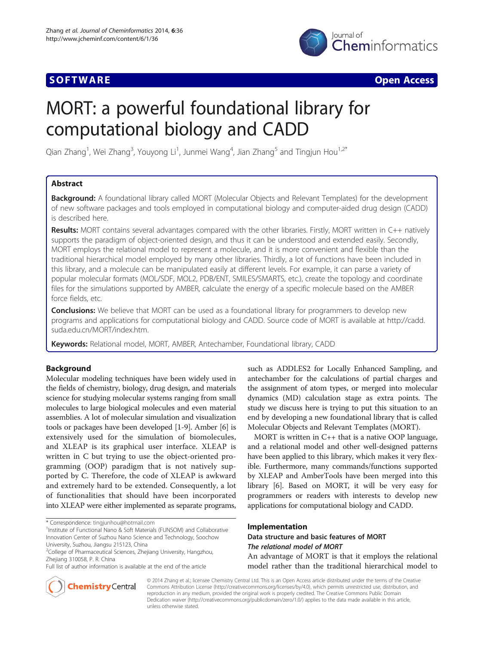# **SOFTWARE SOFTWARE** *CONSERVERSE EXECUTIVE EXECUTIVE EXECUTIVE EXECUTIVE EXECUTIVE EXECUTIVE EXECUTIVE EXECUTIVE EXECUTIVE EXECUTIVE EXECUTIVE EXECUTIVE EXECUTIVE EXECUTIVE EXECUTIVE EXECUTIVE EXECUTIVE EXECUTIVE EXECUT*



# MORT: a powerful foundational library for computational biology and CADD

Qian Zhang<sup>1</sup>, Wei Zhang<sup>3</sup>, Youyong Li<sup>1</sup>, Junmei Wang<sup>4</sup>, Jian Zhang<sup>5</sup> and Tingjun Hou<sup>1,2\*</sup>

## Abstract

Background: A foundational library called MORT (Molecular Objects and Relevant Templates) for the development of new software packages and tools employed in computational biology and computer-aided drug design (CADD) is described here.

Results: MORT contains several advantages compared with the other libraries. Firstly, MORT written in C++ natively supports the paradigm of object-oriented design, and thus it can be understood and extended easily. Secondly, MORT employs the relational model to represent a molecule, and it is more convenient and flexible than the traditional hierarchical model employed by many other libraries. Thirdly, a lot of functions have been included in this library, and a molecule can be manipulated easily at different levels. For example, it can parse a variety of popular molecular formats (MOL/SDF, MOL2, PDB/ENT, SMILES/SMARTS, etc.), create the topology and coordinate files for the simulations supported by AMBER, calculate the energy of a specific molecule based on the AMBER force fields, etc.

**Conclusions:** We believe that MORT can be used as a foundational library for programmers to develop new programs and applications for computational biology and CADD. Source code of MORT is available at [http://cadd.](http://cadd.suda.edu.cn/MORT/index.htm) [suda.edu.cn/MORT/index.htm](http://cadd.suda.edu.cn/MORT/index.htm).

Keywords: Relational model, MORT, AMBER, Antechamber, Foundational library, CADD

## Background

Molecular modeling techniques have been widely used in the fields of chemistry, biology, drug design, and materials science for studying molecular systems ranging from small molecules to large biological molecules and even material assemblies. A lot of molecular simulation and visualization tools or packages have been developed [\[1](#page-8-0)-[9](#page-8-0)]. Amber [\[6](#page-8-0)] is extensively used for the simulation of biomolecules, and XLEAP is its graphical user interface. XLEAP is written in C but trying to use the object-oriented programming (OOP) paradigm that is not natively supported by C. Therefore, the code of XLEAP is awkward and extremely hard to be extended. Consequently, a lot of functionalities that should have been incorporated into XLEAP were either implemented as separate programs,

\* Correspondence: [tingjunhou@hotmail.com](mailto:tingjunhou@hotmail.com) <sup>1</sup>

<sup>1</sup> Institute of Functional Nano & Soft Materials (FUNSOM) and Collaborative Innovation Center of Suzhou Nano Science and Technology, Soochow University, Suzhou, Jiangsu 215123, China

Full list of author information is available at the end of the article

such as ADDLES2 for Locally Enhanced Sampling, and antechamber for the calculations of partial charges and the assignment of atom types, or merged into molecular dynamics (MD) calculation stage as extra points. The study we discuss here is trying to put this situation to an end by developing a new foundational library that is called Molecular Objects and Relevant Templates (MORT).

MORT is written in C++ that is a native OOP language, and a relational model and other well-designed patterns have been applied to this library, which makes it very flexible. Furthermore, many commands/functions supported by XLEAP and AmberTools have been merged into this library [\[6](#page-8-0)]. Based on MORT, it will be very easy for programmers or readers with interests to develop new applications for computational biology and CADD.

#### Implementation

## Data structure and basic features of MORT The relational model of MORT

An advantage of MORT is that it employs the relational model rather than the traditional hierarchical model to



© 2014 Zhang et al.; licensee Chemistry Central Ltd. This is an Open Access article distributed under the terms of the Creative Commons Attribution License (<http://creativecommons.org/licenses/by/4.0>), which permits unrestricted use, distribution, and reproduction in any medium, provided the original work is properly credited. The Creative Commons Public Domain Dedication waiver (<http://creativecommons.org/publicdomain/zero/1.0/>) applies to the data made available in this article, unless otherwise stated.

<sup>2</sup> College of Pharmaceutical Sciences, Zhejiang University, Hangzhou, Zhejiang 310058, P. R. China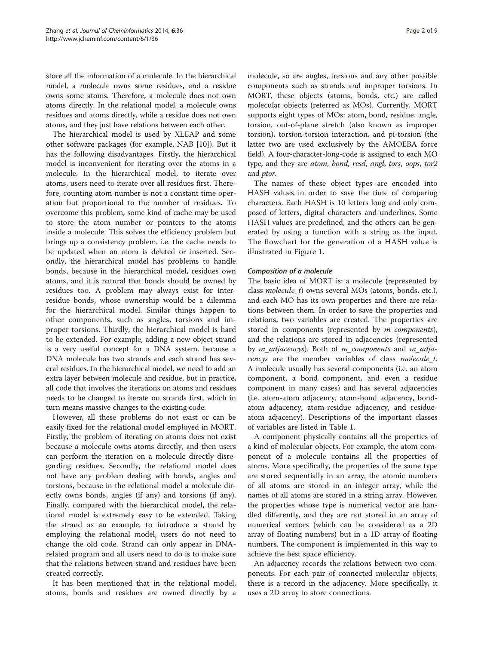store all the information of a molecule. In the hierarchical model, a molecule owns some residues, and a residue owns some atoms. Therefore, a molecule does not own atoms directly. In the relational model, a molecule owns residues and atoms directly, while a residue does not own atoms, and they just have relations between each other.

The hierarchical model is used by XLEAP and some other software packages (for example, NAB [[10\]](#page-8-0)). But it has the following disadvantages. Firstly, the hierarchical model is inconvenient for iterating over the atoms in a molecule. In the hierarchical model, to iterate over atoms, users need to iterate over all residues first. Therefore, counting atom number is not a constant time operation but proportional to the number of residues. To overcome this problem, some kind of cache may be used to store the atom number or pointers to the atoms inside a molecule. This solves the efficiency problem but brings up a consistency problem, i.e. the cache needs to be updated when an atom is deleted or inserted. Secondly, the hierarchical model has problems to handle bonds, because in the hierarchical model, residues own atoms, and it is natural that bonds should be owned by residues too. A problem may always exist for interresidue bonds, whose ownership would be a dilemma for the hierarchical model. Similar things happen to other components, such as angles, torsions and improper torsions. Thirdly, the hierarchical model is hard to be extended. For example, adding a new object strand is a very useful concept for a DNA system, because a DNA molecule has two strands and each strand has several residues. In the hierarchical model, we need to add an extra layer between molecule and residue, but in practice, all code that involves the iterations on atoms and residues needs to be changed to iterate on strands first, which in turn means massive changes to the existing code.

However, all these problems do not exist or can be easily fixed for the relational model employed in MORT. Firstly, the problem of iterating on atoms does not exist because a molecule owns atoms directly, and then users can perform the iteration on a molecule directly disregarding residues. Secondly, the relational model does not have any problem dealing with bonds, angles and torsions, because in the relational model a molecule directly owns bonds, angles (if any) and torsions (if any). Finally, compared with the hierarchical model, the relational model is extremely easy to be extended. Taking the strand as an example, to introduce a strand by employing the relational model, users do not need to change the old code. Strand can only appear in DNArelated program and all users need to do is to make sure that the relations between strand and residues have been created correctly.

It has been mentioned that in the relational model, atoms, bonds and residues are owned directly by a

molecule, so are angles, torsions and any other possible components such as strands and improper torsions. In MORT, these objects (atoms, bonds, etc.) are called molecular objects (referred as MOs). Currently, MORT supports eight types of MOs: atom, bond, residue, angle, torsion, out-of-plane stretch (also known as improper torsion), torsion-torsion interaction, and pi-torsion (the latter two are used exclusively by the AMOEBA force field). A four-character-long-code is assigned to each MO type, and they are *atom, bond, resd, angl, tors, oops, tor2* and ptor.

The names of these object types are encoded into HASH values in order to save the time of comparing characters. Each HASH is 10 letters long and only composed of letters, digital characters and underlines. Some HASH values are predefined, and the others can be generated by using a function with a string as the input. The flowchart for the generation of a HASH value is illustrated in Figure [1](#page-2-0).

#### Composition of a molecule

The basic idea of MORT is: a molecule (represented by class molecule\_t) owns several MOs (atoms, bonds, etc.), and each MO has its own properties and there are relations between them. In order to save the properties and relations, two variables are created. The properties are stored in components (represented by  $m\_components$ ), and the relations are stored in adjacencies (represented by *m\_adjacencys*). Both of *m\_components* and *m\_adja*cencys are the member variables of class molecule t. A molecule usually has several components (i.e. an atom component, a bond component, and even a residue component in many cases) and has several adjacencies (i.e. atom-atom adjacency, atom-bond adjacency, bondatom adjacency, atom-residue adjacency, and residueatom adjacency). Descriptions of the important classes of variables are listed in Table [1](#page-2-0).

A component physically contains all the properties of a kind of molecular objects. For example, the atom component of a molecule contains all the properties of atoms. More specifically, the properties of the same type are stored sequentially in an array, the atomic numbers of all atoms are stored in an integer array, while the names of all atoms are stored in a string array. However, the properties whose type is numerical vector are handled differently, and they are not stored in an array of numerical vectors (which can be considered as a 2D array of floating numbers) but in a 1D array of floating numbers. The component is implemented in this way to achieve the best space efficiency.

An adjacency records the relations between two components. For each pair of connected molecular objects, there is a record in the adjacency. More specifically, it uses a 2D array to store connections.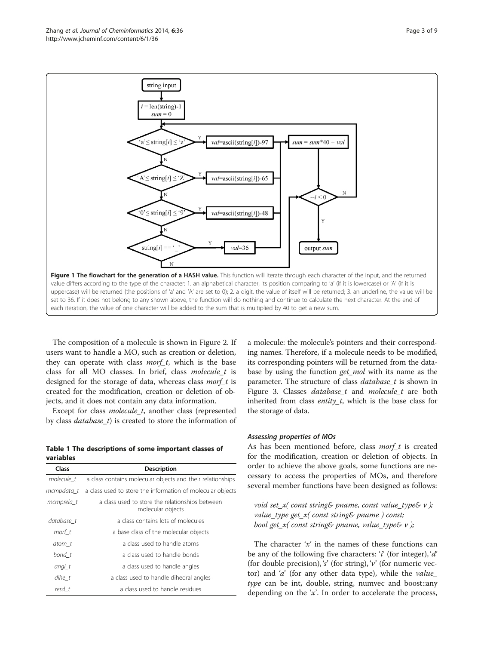<span id="page-2-0"></span>

The composition of a molecule is shown in Figure [2](#page-3-0). If users want to handle a MO, such as creation or deletion, they can operate with class *morf\_t*, which is the base class for all MO classes. In brief, class *molecule*  $t$  is designed for the storage of data, whereas class *morf* t is created for the modification, creation or deletion of objects, and it does not contain any data information.

Except for class molecule\_t, another class (represented by class  $database_t$ ) is created to store the information of

Table 1 The descriptions of some important classes of variables

| <b>Class</b> | <b>Description</b>                                                   |
|--------------|----------------------------------------------------------------------|
| molecule t   | a class contains molecular objects and their relationships           |
| mcmpdata t   | a class used to store the information of molecular objects           |
| mcmprela t   | a class used to store the relationships between<br>molecular objects |
| database t   | a class contains lots of molecules                                   |
| morf t       | a base class of the molecular objects                                |
| atom t       | a class used to handle atoms                                         |
| bond t       | a class used to handle bonds                                         |
| $and$ _t     | a class used to handle angles                                        |
| dihe t       | a class used to handle dihedral angles                               |
| resd t       | a class used to handle residues                                      |

a molecule: the molecule's pointers and their corresponding names. Therefore, if a molecule needs to be modified, its corresponding pointers will be returned from the database by using the function *get mol* with its name as the parameter. The structure of class *database\_t* is shown in Figure [3.](#page-3-0) Classes *database\_t* and *molecule\_t* are both inherited from class  $entity_t$ , which is the base class for the storage of data.

#### Assessing properties of MOs

As has been mentioned before, class *morf\_t* is created for the modification, creation or deletion of objects. In order to achieve the above goals, some functions are necessary to access the properties of MOs, and therefore several member functions have been designed as follows:

void set\_x( const string& pname, const value\_type&  $\nu$  ); value\_type get\_x( const string& pname ) const; bool get\_x( const string& pname, value\_type&  $\nu$  );

The character  $x'$  in the names of these functions can be any of the following five characters: 'i' (for integer), 'd' (for double precision), 's' (for string), ' $\nu$ ' (for numeric vector) and 'a' (for any other data type), while the *value* type can be int, double, string, numvec and boost::any depending on the 'x'. In order to accelerate the process,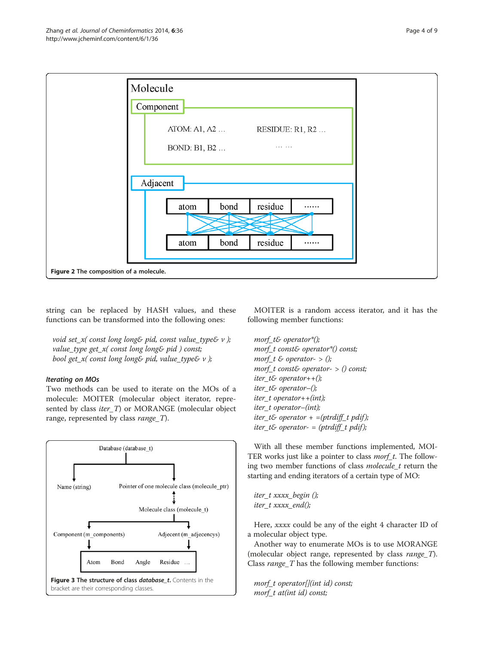<span id="page-3-0"></span>

string can be replaced by HASH values, and these functions can be transformed into the following ones:

void set\_x( const long long& pid, const value\_type& v ); value\_type get\_x( $\text{const}$  long long& pid ) const; bool get\_x( const long long& pid, value\_type& v );

#### Iterating on MOs

Two methods can be used to iterate on the MOs of a molecule: MOITER (molecular object iterator, represented by class *iter\_T*) or MORANGE (molecular object range, represented by class  $range_T$ .



MOITER is a random access iterator, and it has the following member functions:

morf\_t& operator\*(); morf\_t const& operator\*() const; morf t & operator-  $>$  (); morf t const& operator- >  $()$  const; iter  $t\mathcal{E}$  operator++(); iter\_t& operator-(); iter\_t operator++(int); iter\_t operator–(int); iter t& operator + =(ptrdiff t pdif); iter\_t& operator- = (ptrdiff\_t pdif);

With all these member functions implemented, MOI-TER works just like a pointer to class *morf\_t*. The following two member functions of class *molecule\_t* return the starting and ending iterators of a certain type of MO:

 $iter_t$  xxxx\_begin ();  $iter_t$  xxxx\_end();

Here, xxxx could be any of the eight 4 character ID of a molecular object type.

Another way to enumerate MOs is to use MORANGE (molecular object range, represented by class range\_T). Class  $range_T$  has the following member functions:

morf\_t operator[](int id) const; morf\_t at(int id) const;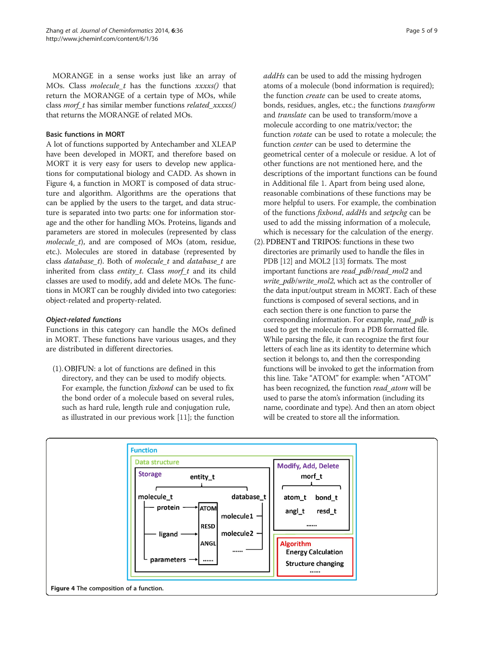MORANGE in a sense works just like an array of MOs. Class *molecule*  $t$  has the functions  $xxxxs()$  that return the MORANGE of a certain type of MOs, while class *morf* t has similar member functions *related*  $xxxxs()$ that returns the MORANGE of related MOs.

#### Basic functions in MORT

A lot of functions supported by Antechamber and XLEAP have been developed in MORT, and therefore based on MORT it is very easy for users to develop new applications for computational biology and CADD. As shown in Figure 4, a function in MORT is composed of data structure and algorithm. Algorithms are the operations that can be applied by the users to the target, and data structure is separated into two parts: one for information storage and the other for handling MOs. Proteins, ligands and parameters are stored in molecules (represented by class molecule\_t), and are composed of MOs (atom, residue, etc.). Molecules are stored in database (represented by class database\_t). Both of molecule\_t and database\_t are inherited from class entity t. Class morf  $t$  and its child classes are used to modify, add and delete MOs. The functions in MORT can be roughly divided into two categories: object-related and property-related.

## Object-related functions

Functions in this category can handle the MOs defined in MORT. These functions have various usages, and they are distributed in different directories.

(1).OBJFUN: a lot of functions are defined in this directory, and they can be used to modify objects. For example, the function fixbond can be used to fix the bond order of a molecule based on several rules, such as hard rule, length rule and conjugation rule, as illustrated in our previous work [\[11\]](#page-8-0); the function

addHs can be used to add the missing hydrogen atoms of a molecule (bond information is required); the function create can be used to create atoms, bonds, residues, angles, etc.; the functions transform and translate can be used to transform/move a molecule according to one matrix/vector; the function rotate can be used to rotate a molecule; the function center can be used to determine the geometrical center of a molecule or residue. A lot of other functions are not mentioned here, and the descriptions of the important functions can be found in Additional file [1.](#page-8-0) Apart from being used alone, reasonable combinations of these functions may be more helpful to users. For example, the combination of the functions fixbond, addHs and setpchg can be used to add the missing information of a molecule, which is necessary for the calculation of the energy.

(2).PDBENT and TRIPOS: functions in these two directories are primarily used to handle the files in PDB [[12](#page-8-0)] and MOL2 [\[13\]](#page-8-0) formats. The most important functions are read pdb/read mol2 and write pdb/write mol2, which act as the controller of the data input/output stream in MORT. Each of these functions is composed of several sections, and in each section there is one function to parse the corresponding information. For example, read\_pdb is used to get the molecule from a PDB formatted file. While parsing the file, it can recognize the first four letters of each line as its identity to determine which section it belongs to, and then the corresponding functions will be invoked to get the information from this line. Take "ATOM" for example: when "ATOM" has been recognized, the function read\_atom will be used to parse the atom's information (including its name, coordinate and type). And then an atom object will be created to store all the information.

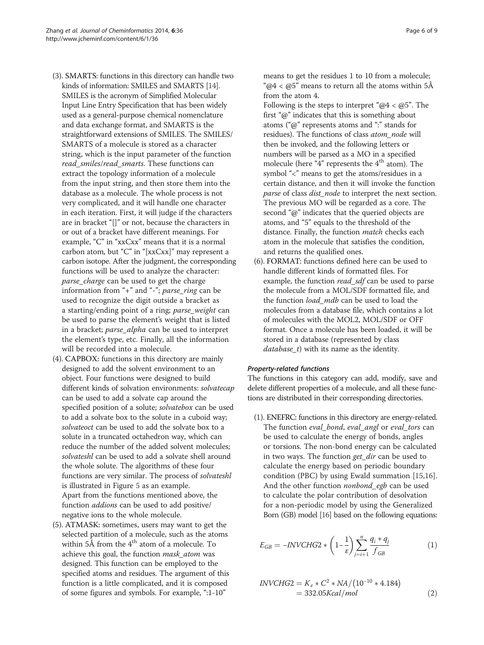- (3). SMARTS: functions in this directory can handle two kinds of information: SMILES and SMARTS [[14\]](#page-8-0). SMILES is the acronym of Simplified Molecular Input Line Entry Specification that has been widely used as a general-purpose chemical nomenclature and data exchange format, and SMARTS is the straightforward extensions of SMILES. The SMILES/ SMARTS of a molecule is stored as a character string, which is the input parameter of the function read\_smiles/read\_smarts. These functions can extract the topology information of a molecule from the input string, and then store them into the database as a molecule. The whole process is not very complicated, and it will handle one character in each iteration. First, it will judge if the characters are in bracket "[]" or not, because the characters in or out of a bracket have different meanings. For example, "C" in "xxCxx" means that it is a normal carbon atom, but "C" in "[xxCxx]" may represent a carbon isotope. After the judgment, the corresponding functions will be used to analyze the character: parse\_charge can be used to get the charge information from "+" and "-";  $parse\_ring$  can be used to recognize the digit outside a bracket as a starting/ending point of a ring; parse\_weight can be used to parse the element's weight that is listed in a bracket; parse\_alpha can be used to interpret the element's type, etc. Finally, all the information will be recorded into a molecule.
- (4). CAPBOX: functions in this directory are mainly designed to add the solvent environment to an object. Four functions were designed to build different kinds of solvation environments: solvatecap can be used to add a solvate cap around the specified position of a solute; solvatebox can be used to add a solvate box to the solute in a cuboid way; solvateoct can be used to add the solvate box to a solute in a truncated octahedron way, which can reduce the number of the added solvent molecules; solvateshl can be used to add a solvate shell around the whole solute. The algorithms of these four functions are very similar. The process of solvateshl is illustrated in Figure [5](#page-6-0) as an example. Apart from the functions mentioned above, the function addions can be used to add positive/ negative ions to the whole molecule.
- (5). ATMASK: sometimes, users may want to get the selected partition of a molecule, such as the atoms within 5Å from the 4<sup>th</sup> atom of a molecule. To achieve this goal, the function mask\_atom was designed. This function can be employed to the specified atoms and residues. The argument of this function is a little complicated, and it is composed of some figures and symbols. For example, ":1-10"

means to get the residues 1 to 10 from a molecule; " $@4 < @5"$  means to return all the atoms within 5Å from the atom 4.

- Following is the steps to interpret " $@4 < @5"$ . The first " $@$ " indicates that this is something about atoms ("@" represents atoms and ":" stands for residues). The functions of class *atom* node will then be invoked, and the following letters or numbers will be parsed as a MO in a specified molecule (here "4" represents the  $4<sup>th</sup>$  atom). The symbol "<" means to get the atoms/residues in a certain distance, and then it will invoke the function parse of class *dist node* to interpret the next section. The previous MO will be regarded as a core. The second "@" indicates that the queried objects are atoms, and "5" equals to the threshold of the distance. Finally, the function *match* checks each atom in the molecule that satisfies the condition, and returns the qualified ones.
- (6). FORMAT: functions defined here can be used to handle different kinds of formatted files. For example, the function *read\_sdf* can be used to parse the molecule from a MOL/SDF formatted file, and the function *load mdb* can be used to load the molecules from a database file, which contains a lot of molecules with the MOL2, MOL/SDF or OFF format. Once a molecule has been loaded, it will be stored in a database (represented by class  $database_t$ ) with its name as the identity.

#### Property-related functions

The functions in this category can add, modify, save and delete different properties of a molecule, and all these functions are distributed in their corresponding directories.

(1). ENEFRC: functions in this directory are energy-related. The function *eval\_bond*, *eval\_angl* or *eval\_tors* can be used to calculate the energy of bonds, angles or torsions. The non-bond energy can be calculated in two ways. The function get\_dir can be used to calculate the energy based on periodic boundary condition (PBC) by using Ewald summation [\[15,16\]](#page-8-0). And the other function *nonbond\_egb* can be used to calculate the polar contribution of desolvation for a non-periodic model by using the Generalized Born (GB) model [\[16](#page-8-0)] based on the following equations:

$$
E_{GB} = -INVCHG2 * \left(1 - \frac{1}{\varepsilon}\right) \sum_{j=i+1}^{n} \frac{q_i * q_j}{f_{GB}} \tag{1}
$$

$$
INVCHG2 = K_e * C^2 * NA / (10^{-10} * 4.184)
$$
  
= 332.05Kcal/mol (2)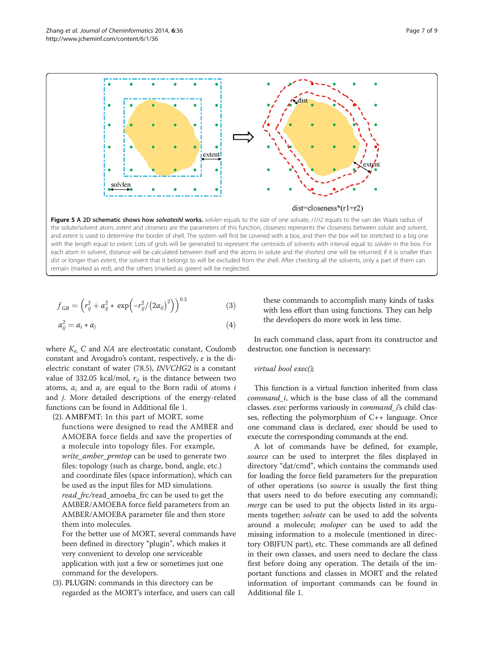<span id="page-6-0"></span>

remain (marked as red), and the others (marked as green) will be neglected.

$$
f_{GB} = \left(r_{ij}^2 + \alpha_{ij}^2 * \exp\left(-r_{ij}^2/(2\alpha_{ij})^2\right)\right)^{0.5}
$$
 (3)

$$
\alpha_{ij}^2 = \alpha_i * \alpha_j \tag{4}
$$

where  $K_{\rm e}$  C and NA are electrostatic constant, Coulomb constant and Avogadro's contant, respectively,  $\varepsilon$  is the dielectric constant of water (78.5), INVCHG2 is a constant value of 332.05 kcal/mol,  $r_{ij}$  is the distance between two atoms,  $\alpha_i$  and  $\alpha_j$  are equal to the Born radii of atoms i and j. More detailed descriptions of the energy-related functions can be found in Additional file [1](#page-8-0).

(2). AMBFMT: In this part of MORT, some

functions were designed to read the AMBER and AMOEBA force fields and save the properties of a molecule into topology files. For example, write\_amber\_prmtop can be used to generate two files: topology (such as charge, bond, angle, etc.) and coordinate files (space information), which can be used as the input files for MD simulations. read\_frc/read\_amoeba\_frc can be used to get the AMBER/AMOEBA force field parameters from an AMBER/AMOEBA parameter file and then store them into molecules. For the better use of MORT, several commands have

been defined in directory "plugin", which makes it very convenient to develop one serviceable application with just a few or sometimes just one command for the developers.

(3). PLUGIN: commands in this directory can be regarded as the MORT's interface, and users can call these commands to accomplish many kinds of tasks with less effort than using functions. They can help the developers do more work in less time.

In each command class, apart from its constructor and destructor, one function is necessary:

#### virtual bool exec();

This function is a virtual function inherited from class command i, which is the base class of all the command classes. exec performs variously in command\_i's child classes, reflecting the polymorphism of C++ language. Once one command class is declared, exec should be used to execute the corresponding commands at the end.

A lot of commands have be defined, for example, source can be used to interpret the files displayed in directory "dat/cmd", which contains the commands used for loading the force field parameters for the preparation of other operations (so source is usually the first thing that users need to do before executing any command); *merge* can be used to put the objects listed in its arguments together; *solvate* can be used to add the solvents around a molecule; moloper can be used to add the missing information to a molecule (mentioned in directory OBJFUN part), etc. These commands are all defined in their own classes, and users need to declare the class first before doing any operation. The details of the important functions and classes in MORT and the related information of important commands can be found in Additional file [1](#page-8-0).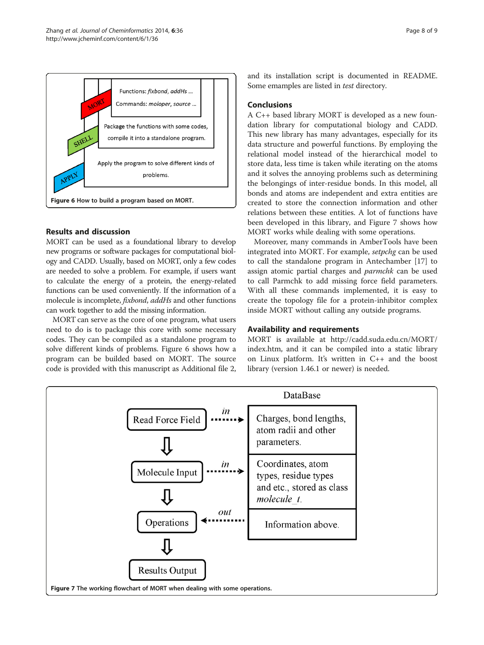

#### Results and discussion

MORT can be used as a foundational library to develop new programs or software packages for computational biology and CADD. Usually, based on MORT, only a few codes are needed to solve a problem. For example, if users want to calculate the energy of a protein, the energy-related functions can be used conveniently. If the information of a molecule is incomplete, fixbond, addHs and other functions can work together to add the missing information.

MORT can serve as the core of one program, what users need to do is to package this core with some necessary codes. They can be compiled as a standalone program to solve different kinds of problems. Figure 6 shows how a program can be builded based on MORT. The source code is provided with this manuscript as Additional file [2](#page-8-0), and its installation script is documented in README. Some emamples are listed in test directory.

## Conclusions

A C++ based library MORT is developed as a new foundation library for computational biology and CADD. This new library has many advantages, especially for its data structure and powerful functions. By employing the relational model instead of the hierarchical model to store data, less time is taken while iterating on the atoms and it solves the annoying problems such as determining the belongings of inter-residue bonds. In this model, all bonds and atoms are independent and extra entities are created to store the connection information and other relations between these entities. A lot of functions have been developed in this library, and Figure 7 shows how MORT works while dealing with some operations.

Moreover, many commands in AmberTools have been integrated into MORT. For example, setpchg can be used to call the standalone program in Antechamber [\[17](#page-8-0)] to assign atomic partial charges and *parmchk* can be used to call Parmchk to add missing force field parameters. With all these commands implemented, it is easy to create the topology file for a protein-inhibitor complex inside MORT without calling any outside programs.

## Availability and requirements

MORT is available at [http://cadd.suda.edu.cn/MORT/](http://cadd.suda.edu.cn/MORT/index.htm) [index.htm,](http://cadd.suda.edu.cn/MORT/index.htm) and it can be compiled into a static library on Linux platform. It's written in C++ and the boost library (version 1.46.1 or newer) is needed.